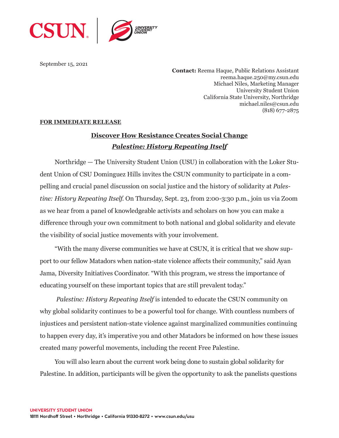

September 15, 2021

**Contact:** Reema Haque, Public Relations Assistant reema.haque.250@my.csun.edu Michael Niles, Marketing Manager University Student Union California State University, Northridge michael.niles@csun.edu (818) 677-2875

## **FOR IMMEDIATE RELEASE**

## **Discover How Resistance Creates Social Change** *Palestine: History Repeating Itself*

Northridge — The University Student Union (USU) in collaboration with the Loker Student Union of CSU Dominguez Hills invites the CSUN community to participate in a compelling and crucial panel discussion on social justice and the history of solidarity at *Palestine: History Repeating Itself*. On Thursday, Sept. 23, from 2:00-3:30 p.m., join us via Zoom as we hear from a panel of knowledgeable activists and scholars on how you can make a difference through your own commitment to both national and global solidarity and elevate the visibility of social justice movements with your involvement.

"With the many diverse communities we have at CSUN, it is critical that we show support to our fellow Matadors when nation-state violence affects their community," said Ayan Jama, Diversity Initiatives Coordinator. "With this program, we stress the importance of educating yourself on these important topics that are still prevalent today."

*Palestine: History Repeating Itself* is intended to educate the CSUN community on why global solidarity continues to be a powerful tool for change. With countless numbers of injustices and persistent nation-state violence against marginalized communities continuing to happen every day, it's imperative you and other Matadors be informed on how these issues created many powerful movements, including the recent Free Palestine.

You will also learn about the current work being done to sustain global solidarity for Palestine. In addition, participants will be given the opportunity to ask the panelists questions